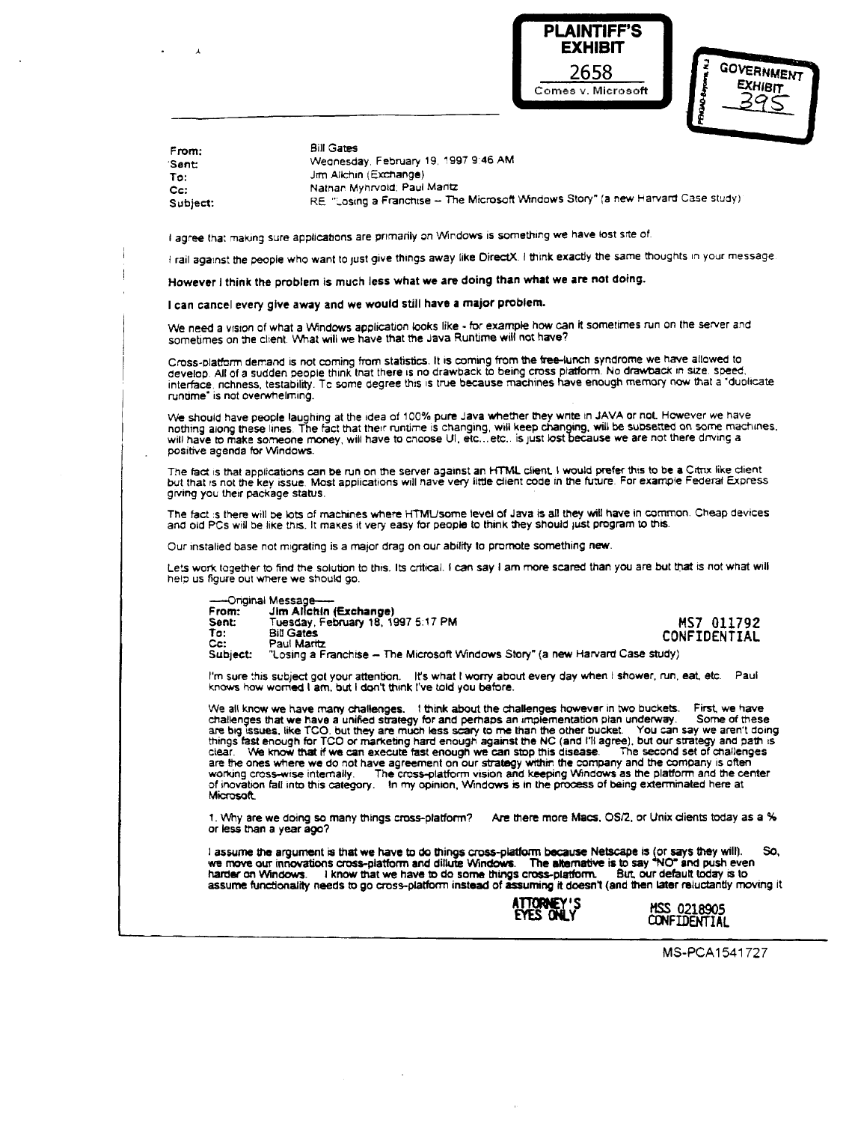

| 3         | <b>GOVERNMENT</b> |  |
|-----------|-------------------|--|
|           | <b>EXHIBIT</b>    |  |
| e<br>Sida |                   |  |

| From:    | <b>Bill Gates</b>                                                                 |
|----------|-----------------------------------------------------------------------------------|
| Sent     | Wednesday, February 19, 1997 9:46 AM                                              |
| To:      | Jim Allchin (Exchange)                                                            |
| Cc:      | Nathan Myhrvoid; Paul Maritz                                                      |
| Subject: | RE "Losing a Franchise - The Microsoft Windows Story" (a new Harvard Case study): |

**agree that making sure** applications **are primarily** on 'Windows **is** something **we have** lost **site of.**

Frail against the people who want to just give things away like DirectX. I think exactly the same thoughts in your message.

**However <sup>I</sup> think the problem is much less what we** are **doing than what we** are **not doing.**

**<sup>I</sup> can cancel every give away and we would still have <sup>a</sup> major problem.**

 $\mathbf{r}$ 

**We** need <sup>a</sup> vision **of what a Wndows** application **looks like** - for **example** how can it **sometimes** run **on the** server and **sometimes on the client. What** Will **we have that the Java Runtime will** riot have?

Cross-platform derr.arid is not **coming from statistics. It is** corning from **the** free-lunch **syndrome we** have allowed to develop. All of a sudden people think that there is no drawback to being cross platform. No drawback in size, speed<br>interface, richness, testability. To some degree this is true because machines have enough memory now that ruritime' **is not overwhelming.**

We should have people laughing at the idea of 100% pure Java whether they write in JAVA or not. However we have nothing along these lines. The fact that their runtime is changing, will keep changing, will be subsetted on some machines,<br>will have to make someone money, will have to choose UI, etc…etc.. is just lost because we are not **positive agenda** for Windows.

The fact is that applications can be run on the server against an HTML client. I would prefer this to be a Citrix like client but **that is not tire key** issue. **Most applications will have** very little **client code** in the **future. For example** Federal Express  $g$ *iving* you their package status.

The fact is there will be lots of machines where HTML/some level of Java is all they will have in common. Cheap devices and old PCs will be like this. It makes it very easy for people to think they should just program to this.

**Our installed** base **not migrating is a** major drag **on ourability to promote something new.**

Lets work together to find the solution to this. Its critical. I can say I am more scared than you are but that is not what will **help us figure out where we** should go.

—Original **Message— From: Jim AtichIn ( xchange) Seriet Series of Tuesday, February 18, 1997 5:17 PM**<br> **Sent:** Tuesday, February 18, 1997 5:17 PM<br> **To:** Bill Gates **CONFTDENTTAL Ta: BIU Gates F**

Cc: Paul Marita<br>Subject: "Losing a F **Subject** "Losing **a Franchise** — **The Microsoft ~Mndows**Story **(a** new **Harvard Case study)**

I'm sure this subject got your attention. Ht's what I worry about every day when I shower, run, eat, etc. Pau<br>knows how worried I am, but I don't think I've told you before.

We all know we have many challenges. I think about the challenges however in two buckets. First, we have<br>challenges that we have a unified strategy for and perhaps an implementation plan underway. Some of these<br>are big iss **clear. We know that if we can execute fast enough we** can stop this disease. The second **set of challenges** are the **ones** where **we do** not have agreement on our strategy within **the** company **and the** company **is** often working cross-wise internally. The cross-platform vision and keeping Windows as the platform and the center<br>of inovation fall into this category. In my opinion, Windows is in the process of being exterminated here at **Microsoft** 

**1. Why are we** doing so **many things** cross-platform? Are there more Macs. OS/2, **or Unix** clients **today as a % or less than <sup>a</sup> year ago?**

l assume the argument is that we have to do things cross-platform because Netscape is (or says they will). So,<br>we move our innovations cross-platform and dillute Windows. The alternative is to say "NO" and push even<br>harder assume functionality needs to go cross-platform instead of assuming it doesn't (and then later reluctantly moving it



MSS 0218905 **CONFIDENTIAL** 

MS-PCA1541727